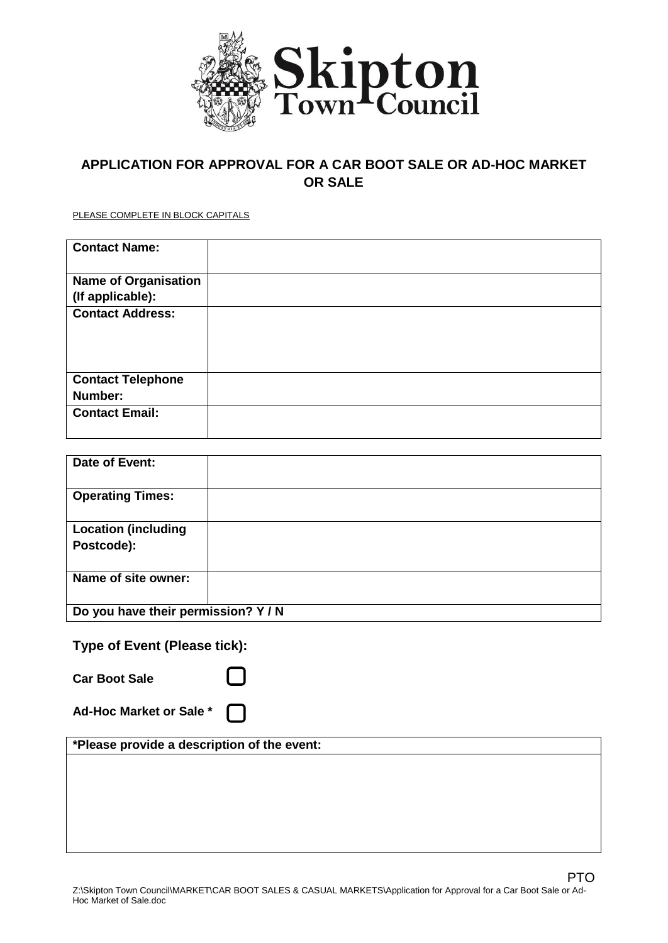

# **APPLICATION FOR APPROVAL FOR A CAR BOOT SALE OR AD-HOC MARKET OR SALE**

PLEASE COMPLETE IN BLOCK CAPITALS

| <b>Contact Name:</b>        |  |
|-----------------------------|--|
| <b>Name of Organisation</b> |  |
| (If applicable):            |  |
| <b>Contact Address:</b>     |  |
|                             |  |
|                             |  |
|                             |  |
| <b>Contact Telephone</b>    |  |
| Number:                     |  |
| <b>Contact Email:</b>       |  |
|                             |  |

| Date of Event:                      |  |  |
|-------------------------------------|--|--|
| <b>Operating Times:</b>             |  |  |
| <b>Location (including</b>          |  |  |
| Postcode):                          |  |  |
| Name of site owner:                 |  |  |
| Do you have their permission? Y / N |  |  |

# **Type of Event (Please tick):**

| <b>Car Boot Sale</b>                        |  |
|---------------------------------------------|--|
| Ad-Hoc Market or Sale *                     |  |
| *Please provide a description of the event: |  |
|                                             |  |
|                                             |  |
|                                             |  |
|                                             |  |
|                                             |  |

PTO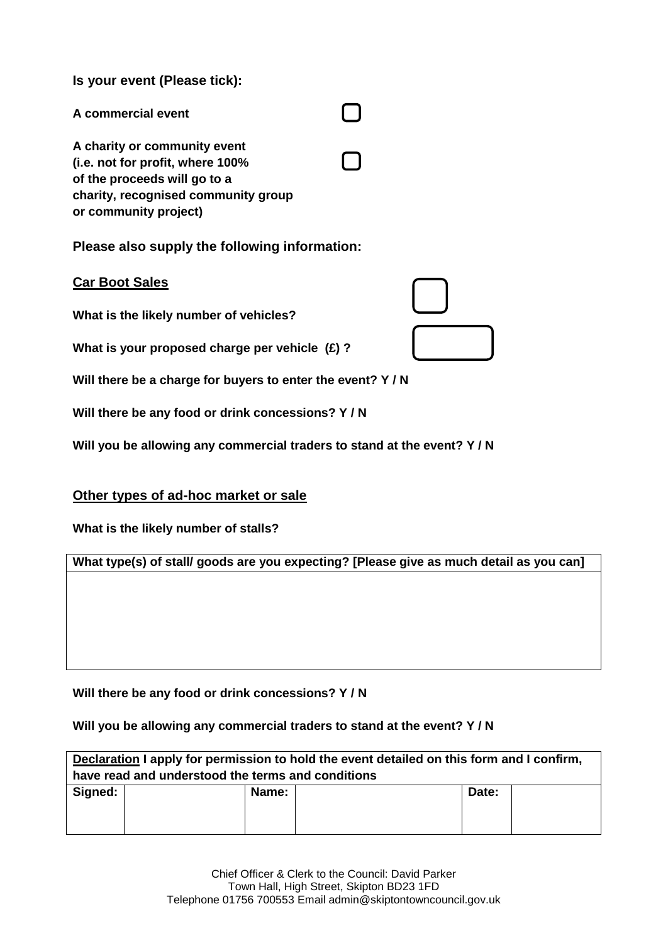**Is your event (Please tick):**

| A commercial event                                                                                                                                               |              |
|------------------------------------------------------------------------------------------------------------------------------------------------------------------|--------------|
| A charity or community event<br>(i.e. not for profit, where 100%<br>of the proceeds will go to a<br>charity, recognised community group<br>or community project) | $\mathbf{I}$ |
|                                                                                                                                                                  |              |

**Please also supply the following information:**

## **Car Boot Sales**

**What is the likely number of vehicles?**

**What is your proposed charge per vehicle (£) ?** 

**Will there be a charge for buyers to enter the event? Y / N**

**Will there be any food or drink concessions? Y / N**

**Will you be allowing any commercial traders to stand at the event? Y / N**

### **Other types of ad-hoc market or sale**

**What is the likely number of stalls?** 

**What type(s) of stall/ goods are you expecting? [Please give as much detail as you can]**

**Will there be any food or drink concessions? Y / N**

#### **Will you be allowing any commercial traders to stand at the event? Y / N**

| Declaration I apply for permission to hold the event detailed on this form and I confirm,<br>have read and understood the terms and conditions |       |       |  |  |  |  |
|------------------------------------------------------------------------------------------------------------------------------------------------|-------|-------|--|--|--|--|
| Signed:                                                                                                                                        | Name: | Date: |  |  |  |  |
|                                                                                                                                                |       |       |  |  |  |  |